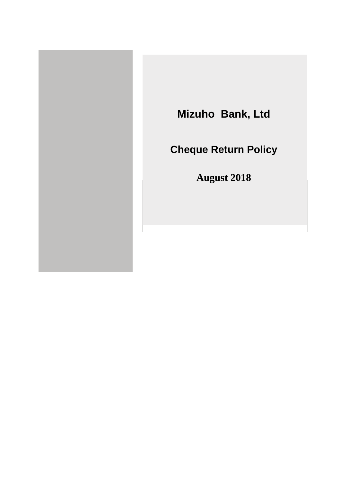

# **Mizuho Bank, Ltd**

**Cheque Return Policy**

**August 2018**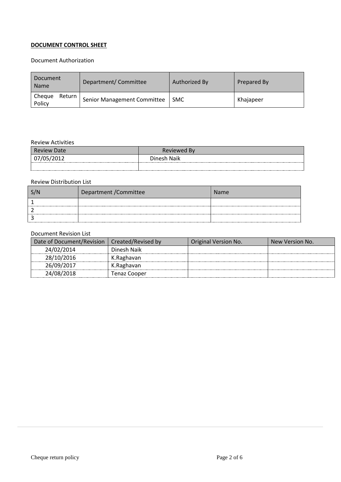# **DOCUMENT CONTROL SHEET**

# Document Authorization

| Document<br>Name             | Department/Committee        | Authorized By | Prepared By |
|------------------------------|-----------------------------|---------------|-------------|
| Cheque<br>Return  <br>Policy | Senior Management Committee | <b>SMC</b>    | Khajapeer   |

# Review Activities

| <b>Review Date</b> | Reviewed By |
|--------------------|-------------|
|                    | Dinesh Naik |
|                    |             |

## Review Distribution List

| Department / Committee | <b>Name</b> |
|------------------------|-------------|
|                        |             |
|                        |             |
|                        |             |

#### Document Revision List

| Date of Document/Revision | Created/Revised by | Original Version No. | New Version No. |
|---------------------------|--------------------|----------------------|-----------------|
| 24/02/2014                | Dinesh Naik        |                      |                 |
| 28/10/2016                | K.Raghavan         |                      |                 |
| 26/09/2017                | K.Raghavan         |                      |                 |
| 24/08/2018                | Tenaz Cooper       |                      |                 |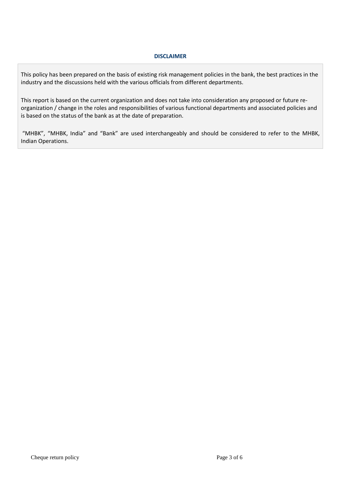#### **DISCLAIMER**

This policy has been prepared on the basis of existing risk management policies in the bank, the best practices in the industry and the discussions held with the various officials from different departments.

This report is based on the current organization and does not take into consideration any proposed or future reorganization / change in the roles and responsibilities of various functional departments and associated policies and is based on the status of the bank as at the date of preparation.

"MHBK", "MHBK, India" and "Bank" are used interchangeably and should be considered to refer to the MHBK, Indian Operations.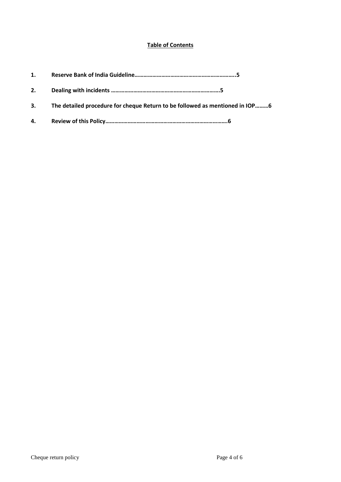# **Table of Contents**

| 1. |                                                                              |
|----|------------------------------------------------------------------------------|
| 2. |                                                                              |
| 3. | The detailed procedure for cheque Return to be followed as mentioned in IOP6 |
|    |                                                                              |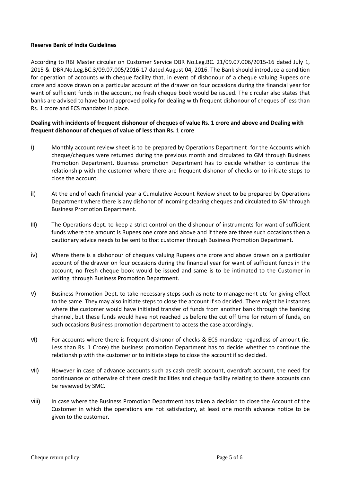#### **Reserve Bank of India Guidelines**

According to RBI Master circular on Customer Service DBR No.Leg.BC. 21/09.07.006/2015-16 dated July 1, 2015 & DBR.No.Leg.BC.3/09.07.005/2016-17 dated August 04, 2016. The Bank should introduce a condition for operation of accounts with cheque facility that, in event of dishonour of a cheque valuing Rupees one crore and above drawn on a particular account of the drawer on four occasions during the financial year for want of sufficient funds in the account, no fresh cheque book would be issued. The circular also states that banks are advised to have board approved policy for dealing with frequent dishonour of cheques of less than Rs. 1 crore and ECS mandates in place.

## **Dealing with incidents of frequent dishonour of cheques of value Rs. 1 crore and above and Dealing with frequent dishonour of cheques of value of less than Rs. 1 crore**

- i) Monthly account review sheet is to be prepared by Operations Department for the Accounts which cheque/cheques were returned during the previous month and circulated to GM through Business Promotion Department. Business promotion Department has to decide whether to continue the relationship with the customer where there are frequent dishonor of checks or to initiate steps to close the account.
- ii) At the end of each financial year a Cumulative Account Review sheet to be prepared by Operations Department where there is any dishonor of incoming clearing cheques and circulated to GM through Business Promotion Department.
- iii) The Operations dept. to keep a strict control on the dishonour of instruments for want of sufficient funds where the amount is Rupees one crore and above and if there are three such occasions then a cautionary advice needs to be sent to that customer through Business Promotion Department.
- iv) Where there is a dishonour of cheques valuing Rupees one crore and above drawn on a particular account of the drawer on four occasions during the financial year for want of sufficient funds in the account, no fresh cheque book would be issued and same is to be intimated to the Customer in writing through Business Promotion Department.
- v) Business Promotion Dept. to take necessary steps such as note to management etc for giving effect to the same. They may also initiate steps to close the account if so decided. There might be instances where the customer would have initiated transfer of funds from another bank through the banking channel, but these funds would have not reached us before the cut off time for return of funds, on such occasions Business promotion department to access the case accordingly.
- vi) For accounts where there is frequent dishonor of checks & ECS mandate regardless of amount (ie. Less than Rs. 1 Crore) the business promotion Department has to decide whether to continue the relationship with the customer or to initiate steps to close the account if so decided.
- vii) However in case of advance accounts such as cash credit account, overdraft account, the need for continuance or otherwise of these credit facilities and cheque facility relating to these accounts can be reviewed by SMC.
- viii) In case where the Business Promotion Department has taken a decision to close the Account of the Customer in which the operations are not satisfactory, at least one month advance notice to be given to the customer.